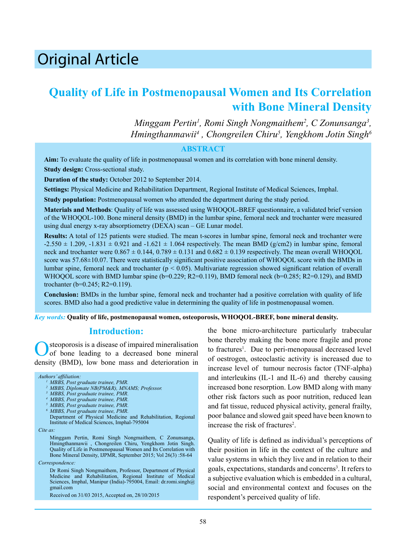# Original Article

# **Quality of Life in Postmenopausal Women and Its Correlation with Bone Mineral Density**

*Minggam Pertin<sup>1</sup>, Romi Singh Nongmaithem<sup>2</sup>, C Zonunsanga<sup>3</sup>,*  $H$ mingthanmawii<sup>4</sup> , Chongreilen Chiru<sup>5</sup>, Yengkhom Jotin Singh<sup>6</sup>

### **ABSTRACT**

**Aim:** To evaluate the quality of life in postmenopausal women and its correlation with bone mineral density. **Study design:** Cross-sectional study.

**Duration of the study:** October 2012 to September 2014.

**Settings:** Physical Medicine and Rehabilitation Department, Regional Institute of Medical Sciences, Imphal.

**Study population:** Postmenopausal women who attended the department during the study period.

**Materials and Methods**: Quality of life was assessed using WHOQOL-BREF questionnaire, a validated brief version of the WHOQOL-100. Bone mineral density (BMD) in the lumbar spine, femoral neck and trochanter were measured using dual energy x-ray absorptiometry (DEXA) scan – GE Lunar model.

**Results:** A total of 125 patients were studied. The mean t-scores in lumbar spine, femoral neck and trochanter were  $-2.550 \pm 1.209$ ,  $-1.831 \pm 0.921$  and  $-1.621 \pm 1.064$  respectively. The mean BMD (g/cm2) in lumbar spine, femoral neck and trochanter were  $0.867 \pm 0.144$ ,  $0.789 \pm 0.131$  and  $0.682 \pm 0.139$  respectively. The mean overall WHOOOL score was 57.68±10.07. There were statistically significant positive association of WHOQOL score with the BMDs in lumbar spine, femoral neck and trochanter (p < 0.05). Multivariate regression showed significant relation of overall WHOQOL score with BMD lumbar spine (b=0.229; R2=0.119), BMD femoral neck (b=0.285; R2=0.129), and BMD trochanter (b=0.245; R2=0.119).

**Conclusion:** BMDs in the lumbar spine, femoral neck and trochanter had a positive correlation with quality of life scores. BMD also had a good predictive value in determining the quality of life in postmenopausal women.

*Key words:* **Quality of life, postmenopausal women, osteoporosis, WHOQOL-BREF, bone mineral density.**

### **Introduction:**

steoporosis is a disease of impaired mineralisation of bone leading to a decreased bone mineral density (BMD), low bone mass and deterioration in

#### *Authors' affiliation:*

*6 MBBS, Post graduate trainee, PMR.*

Department of Physical Medicine and Rehabilitation, Regional Institute of Medical Sciences, Imphal-795004

*Cite as:*

Minggam Pertin, Romi Singh Nongmaithem, C Zonunsanga, Hmingthanmawii , Chongreilen Chiru, Yengkhom Jotin Singh. Quality of Life in Postmenopausal Women and Its Correlation with Bone Mineral Density, IJPMR, September 2015; Vol 26(3) :58-64

*Correspondence:*

Dr Romi Singh Nongmaithem, Professor, Department of Physical Medicine and Rehabilitation, Regional Institute of Medical Sciences, Imphal, Manipur (India)-795004, Email: dr.romi.singh@ gmail.com

Received on 31/03 2015, Accepted on, 28/10/2015

the bone micro-architecture particularly trabecular bone thereby making the bone more fragile and prone to fractures<sup>1</sup>. Due to peri-menopausal decreased level of oestrogen, osteoclastic activity is increased due to increase level of tumour necrosis factor (TNF-alpha) and interleukins (IL-1 and IL-6) and thereby causing increased bone resorption. Low BMD along with many other risk factors such as poor nutrition, reduced lean and fat tissue, reduced physical activity, general frailty, poor balance and slowed gait speed have been known to increase the risk of fractures<sup>2</sup>.

Quality of life is defined as individual's perceptions of their position in life in the context of the culture and value systems in which they live and in relation to their goals, expectations, standards and concerns<sup>3</sup>. It refers to a subjective evaluation which is embedded in a cultural, social and environmental context and focuses on the respondent's perceived quality of life.

*<sup>1</sup> MBBS, Post graduate trainee, PMR. 2 MBBS, Diplomate NB(PM&R), MNAMS; Professor.* 

*<sup>3</sup> MBBS, Post graduate trainee, PMR. 4 MBBS, Post graduate trainee, PMR.* 

*<sup>5</sup> MBBS, Post graduate trainee, PMR.*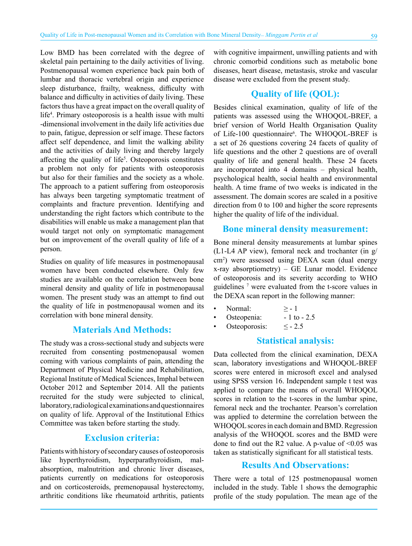Low BMD has been correlated with the degree of skeletal pain pertaining to the daily activities of living. Postmenopausal women experience back pain both of lumbar and thoracic vertebral origin and experience sleep disturbance, frailty, weakness, difficulty with balance and difficulty in activities of daily living. These factors thus have a great impact on the overall quality of life<sup>4</sup>. Primary osteoporosis is a health issue with multi -dimensional involvement in the daily life activities due to pain, fatigue, depression or self image. These factors affect self dependence, and limit the walking ability and the activities of daily living and thereby largely affecting the quality of life<sup>5</sup>. Osteoporosis constitutes a problem not only for patients with osteoporosis but also for their families and the society as a whole. The approach to a patient suffering from osteoporosis has always been targeting symptomatic treatment of complaints and fracture prevention. Identifying and understanding the right factors which contribute to the disabilities will enable us make a management plan that would target not only on symptomatic management but on improvement of the overall quality of life of a person.

Studies on quality of life measures in postmenopausal women have been conducted elsewhere. Only few studies are available on the correlation between bone mineral density and quality of life in postmenopausal women. The present study was an attempt to find out the quality of life in postmenopausal women and its correlation with bone mineral density.

## **Materials And Methods:**

The study was a cross-sectional study and subjects were recruited from consenting postmenopausal women coming with various complaints of pain, attending the Department of Physical Medicine and Rehabilitation, Regional Institute of Medical Sciences, Imphal between October 2012 and September 2014. All the patients recruited for the study were subjected to clinical, laboratory, radiological examinations and questionnaires on quality of life. Approval of the Institutional Ethics Committee was taken before starting the study.

# **Exclusion criteria:**

Patients with history of secondary causes of osteoporosis like hyperthyroidism, hyperparathyroidism, malabsorption, malnutrition and chronic liver diseases, patients currently on medications for osteoporosis and on corticosteroids, premenopausal hysterectomy, arthritic conditions like rheumatoid arthritis, patients with cognitive impairment, unwilling patients and with chronic comorbid conditions such as metabolic bone diseases, heart disease, metastasis, stroke and vascular disease were excluded from the present study.

# **Quality of life (QOL):**

Besides clinical examination, quality of life of the patients was assessed using the WHOQOL-BREF, a brief version of World Health Organisation Quality of Life-100 questionnaire<sup>6</sup>. The WHOQOL-BREF is a set of 26 questions covering 24 facets of quality of life questions and the other 2 questions are of overall quality of life and general health. These 24 facets are incorporated into 4 domains – physical health, psychological health, social health and environmental health. A time frame of two weeks is indicated in the assessment. The domain scores are scaled in a positive direction from 0 to 100 and higher the score represents higher the quality of life of the individual.

### **Bone mineral density measurement:**

Bone mineral density measurements at lumbar spines (L1-L4 AP view), femoral neck and trochanter (in g/ cm2 ) were assessed using DEXA scan (dual energy x-ray absorptiometry) – GE Lunar model. Evidence of osteoporosis and its severity according to WHO guidelines 7 were evaluated from the t-score values in the DEXA scan report in the following manner:

- Normal:  $\geq -1$
- Osteopenia:  $-1$  to  $-2.5$
- Osteoporosis:  $\leq$  2.5

# **Statistical analysis:**

Data collected from the clinical examination, DEXA scan, laboratory investigations and WHOQOL-BREF scores were entered in microsoft excel and analysed using SPSS version 16. Independent sample t test was applied to compare the means of overall WHOQOL scores in relation to the t-scores in the lumbar spine, femoral neck and the trochanter. Pearson's correlation was applied to determine the correlation between the WHOQOL scores in each domain and BMD. Regression analysis of the WHOQOL scores and the BMD were done to find out the R2 value. A p-value of  $\leq 0.05$  was taken as statistically significant for all statistical tests.

# **Results And Observations:**

There were a total of 125 postmenopausal women included in the study. Table 1 shows the demographic profile of the study population. The mean age of the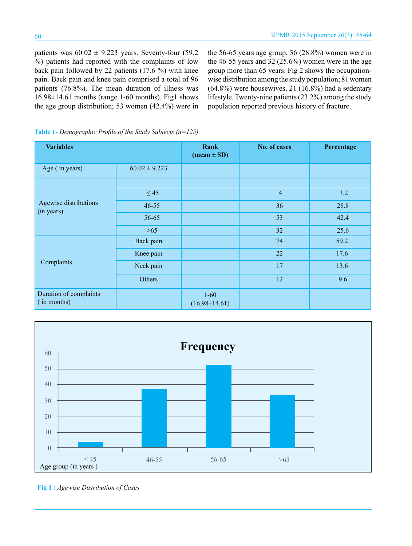patients was  $60.02 \pm 9.223$  years. Seventy-four (59.2) %) patients had reported with the complaints of low back pain followed by 22 patients (17.6 %) with knee pain. Back pain and knee pain comprised a total of 96 patients (76.8%). The mean duration of illness was 16.98±14.61 months (range 1-60 months). Fig1 shows the age group distribution; 53 women (42.4%) were in the 56-65 years age group, 36 (28.8%) women were in the 46-55 years and  $32(25.6%)$  women were in the age group more than 65 years. Fig 2 shows the occupationwise distribution among the study population; 81 women (64.8%) were housewives, 21 (16.8%) had a sedentary lifestyle. Twenty-nine patients (23.2%) among the study population reported previous history of fracture.

| <b>Variables</b>                      |                   | Rank<br>$(\text{mean} \pm \text{SD})$ | No. of cases   | Percentage |
|---------------------------------------|-------------------|---------------------------------------|----------------|------------|
| Age (in years)                        | $60.02 \pm 9.223$ |                                       |                |            |
|                                       |                   |                                       |                |            |
|                                       | $\leq 45$         |                                       | $\overline{4}$ | 3.2        |
| Agewise distributions<br>(in years)   | $46 - 55$         |                                       | 36             | 28.8       |
|                                       | 56-65             |                                       | 53             | 42.4       |
|                                       | $>65$             |                                       | 32             | 25.6       |
|                                       | Back pain         |                                       | 74             | 59.2       |
|                                       | Knee pain         |                                       | 22             | 17.6       |
| Complaints                            | Neck pain         |                                       | 17             | 13.6       |
|                                       | Others            |                                       | 12             | 9.6        |
| Duration of complaints<br>(in months) |                   | $1 - 60$<br>$(16.98 \pm 14.61)$       |                |            |

**Table 1-** *Demographic Profile of the Study Subjects (n=125)*



**Fig 1 :** *Agewise Distribution of Cases*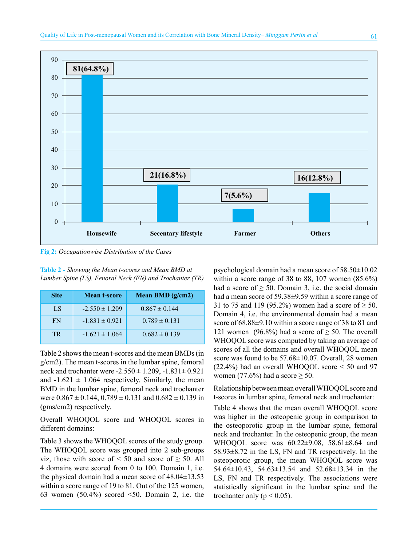

**Fig 2:** *Occupationwise Distribution of the Cases*

**Table 2 -** *Showing the Mean t-scores and Mean BMD at Lumber Spine (LS), Fenoral Neck (FN) and Trochanter (TR)*

| <b>Site</b> | <b>Mean t-score</b> | Mean BMD $(g/cm2)$ |
|-------------|---------------------|--------------------|
| LS          | $-2.550 \pm 1.209$  | $0.867 \pm 0.144$  |
| FN          | $-1.831 \pm 0.921$  | $0.789 \pm 0.131$  |
| TR.         | $-1.621 \pm 1.064$  | $0.682 \pm 0.139$  |

Table 2 shows the mean t-scores and the mean BMDs (in g/cm2). The mean t-scores in the lumbar spine, femoral neck and trochanter were  $-2.550 \pm 1.209$ ,  $-1.831 \pm 0.921$ and  $-1.621 \pm 1.064$  respectively. Similarly, the mean BMD in the lumbar spine, femoral neck and trochanter were  $0.867 \pm 0.144$ ,  $0.789 \pm 0.131$  and  $0.682 \pm 0.139$  in (gms/cm2) respectively.

Overall WHOQOL score and WHOQOL scores in different domains:

Table 3 shows the WHOQOL scores of the study group. The WHOQOL score was grouped into 2 sub-groups viz, those with score of  $\leq 50$  and score of  $\geq 50$ . All 4 domains were scored from 0 to 100. Domain 1, i.e. the physical domain had a mean score of  $48.04\pm13.53$ within a score range of 19 to 81. Out of the 125 women, 63 women (50.4%) scored <50. Domain 2, i.e. the

psychological domain had a mean score of 58.50±10.02 within a score range of 38 to 88, 107 women (85.6%) had a score of  $\geq 50$ . Domain 3, i.e. the social domain had a mean score of 59.38±9.59 within a score range of 31 to 75 and 119 (95.2%) women had a score of  $\geq 50$ . Domain 4, i.e. the environmental domain had a mean score of  $68.88\pm9.10$  within a score range of 38 to 81 and 121 women (96.8%) had a score of  $\geq$  50. The overall WHOQOL score was computed by taking an average of scores of all the domains and overall WHOQOL mean score was found to be 57.68±10.07. Overall, 28 women (22.4%) had an overall WHOQOL score < 50 and 97 women (77.6%) had a score  $\geq$  50.

Relationship between mean overall WHOQOL score and t-scores in lumbar spine, femoral neck and trochanter:

Table 4 shows that the mean overall WHOQOL score was higher in the osteopenic group in comparison to the osteoporotic group in the lumbar spine, femoral neck and trochanter. In the osteopenic group, the mean WHOQOL score was 60.22±9.08, 58.61±8.64 and 58.93±8.72 in the LS, FN and TR respectively. In the osteoporotic group, the mean WHOQOL score was 54.64±10.43, 54.63±13.54 and 52.68±13.34 in the LS, FN and TR respectively. The associations were statistically significant in the lumbar spine and the trochanter only ( $p < 0.05$ ).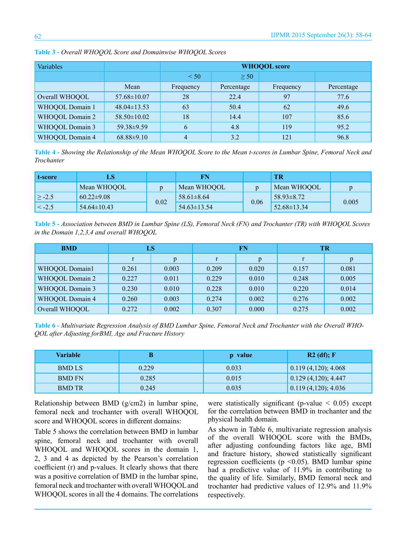| Variables       |                   | <b>WHOQOL</b> score |            |           |            |  |
|-----------------|-------------------|---------------------|------------|-----------|------------|--|
|                 |                   | $\leq 50$           | > 50       |           |            |  |
|                 | Mean              | Frequency           | Percentage | Frequency | Percentage |  |
| Overall WHOQOL  | $57.68 \pm 10.07$ | 28                  | 22.4       | 97        | 77.6       |  |
| WHOQOL Domain 1 | $48.04 \pm 13.53$ | 63                  | 50.4       | 62        | 49.6       |  |
| WHOQOL Domain 2 | $58.50 \pm 10.02$ | 18                  | 14.4       | 107       | 85.6       |  |
| WHOQOL Domain 3 | 59.38±9.59        | 6                   | 4.8        | 119       | 95.2       |  |
| WHOQOL Domain 4 | $68.88 \pm 9.10$  | 4                   | 3.2        | 121       | 96.8       |  |

**Table 3 -** *Overall WHOQOL Score and Domainwise WHOQOL Scores*

**Table 4 -** *Showing the Relationship of the Mean WHOQOL Score to the Mean t-scores in Lumbar Spine, Femoral Neck and Trochanter*

| t-score        |                   |      |                   |      | TR                |       |
|----------------|-------------------|------|-------------------|------|-------------------|-------|
|                | Mean WHOOOL       |      | Mean WHOOOL       |      | Mean WHOOOL       | D     |
| $\vert > -2.5$ | $60.22 \pm 9.08$  | 0.02 | $58.61 \pm 8.64$  |      | 58.93±8.72        | 0.005 |
| $\leq -2.5$    | $54.64 \pm 10.43$ |      | $54.63 \pm 13.54$ | 0.06 | $52.68 \pm 13.34$ |       |

**Table 5 -** *Association between BMD in Lumbar Spine (LS), Femoral Neck (FN) and Trochanter (TR) with WHOQOL Scores in the Domain 1,2,3,4 and overall WHOQOL*

| <b>BMD</b>      | LS    |              | FN    |       | TR    |       |
|-----------------|-------|--------------|-------|-------|-------|-------|
|                 | r     | $\mathbf{D}$ | r     |       | r     | p     |
| WHOQOL Domain1  | 0.261 | 0.003        | 0.209 | 0.020 | 0.157 | 0.081 |
| WHOQOL Domain 2 | 0.227 | 0.011        | 0.229 | 0.010 | 0.248 | 0.005 |
| WHOQOL Domain 3 | 0.230 | 0.010        | 0.228 | 0.010 | 0.220 | 0.014 |
| WHOQOL Domain 4 | 0.260 | 0.003        | 0.274 | 0.002 | 0.276 | 0.002 |
| Overall WHOQOL  | 0.272 | 0.002        | 0.307 | 0.000 | 0.275 | 0.002 |

**Table 6 -** *Multivariate Regression Analysis of BMD Lumbar Spine, Femoral Neck and Trochanter with the Overall WHO-QOL after Adjusting forBMI, Age and Fracture History*

| <b>Variable</b> |       | p value | $R2$ (df); F           |
|-----------------|-------|---------|------------------------|
| <b>BMD LS</b>   | 0.229 | 0.033   | $0.119(4,120)$ ; 4.068 |
| <b>BMD FN</b>   | 0.285 | 0.015   | 0.129(4,120); 4.447    |
| <b>BMD TR</b>   | 0.245 | 0.035   | 0.119(4,120); 4.036    |

Relationship between BMD (g/cm2) in lumbar spine, femoral neck and trochanter with overall WHOQOL score and WHOQOL scores in different domains:

Table 5 shows the correlation between BMD in lumbar spine, femoral neck and trochanter with overall WHOQOL and WHOQOL scores in the domain 1, 2, 3 and 4 as depicted by the Pearson's correlation coefficient (r) and p-values. It clearly shows that there was a positive correlation of BMD in the lumbar spine, femoral neck and trochanter with overall WHOQOL and WHOQOL scores in all the 4 domains. The correlations were statistically significant (p-value  $\leq$  0.05) except for the correlation between BMD in trochanter and the physical health domain.

As shown in Table 6, multivariate regression analysis of the overall WHOQOL score with the BMDs, after adjusting confounding factors like age, BMI and fracture history, showed statistically significant regression coefficients ( $p \le 0.05$ ). BMD lumbar spine had a predictive value of 11.9% in contributing to the quality of life. Similarly, BMD femoral neck and trochanter had predictive values of 12.9% and 11.9% respectively.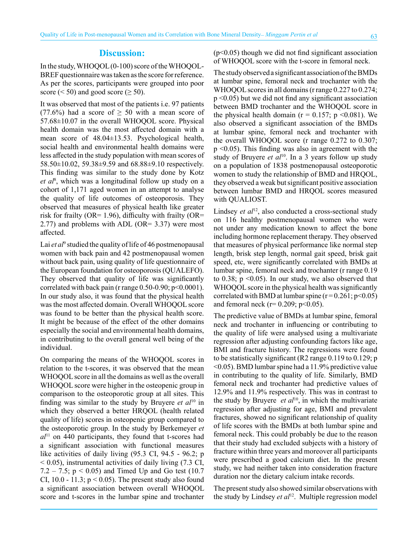### **Discussion:**

In the study, WHOQOL (0-100) score of the WHOQOL-BREF questionnaire was taken as the score for reference. As per the scores, participants were grouped into poor score ( $\le$  50) and good score ( $\ge$  50).

It was observed that most of the patients i.e. 97 patients (77.6%) had a score of  $\geq$  50 with a mean score of 57.68±10.07 in the overall WHOQOL score. Physical health domain was the most affected domain with a mean score of 48.04±13.53. Psychological health, social health and environmental health domains were less affected in the study population with mean scores of 58.50±10.02, 59.38±9.59 and 68.88±9.10 respectively. This finding was similar to the study done by Kotz *et al*<sup>8</sup> , which was a longitudinal follow up study on a cohort of 1,171 aged women in an attempt to analyse the quality of life outcomes of osteoporosis. They observed that measures of physical health like greater risk for frailty (OR= 1.96), difficulty with frailty (OR= 2.77) and problems with ADL (OR= 3.37) were most affected.

Lai *et al*<sup>9</sup> studied the quality of life of 46 postmenopausal women with back pain and 42 postmenopausal women without back pain, using quality of life questionnaire of the European foundation for osteoporosis (QUALEFO). They observed that quality of life was significantly correlated with back pain (r range  $0.50$ -0.90; p<0.0001). In our study also, it was found that the physical health was the most affected domain. Overall WHOQOL score was found to be better than the physical health score. It might be because of the effect of the other domains especially the social and environmental health domains, in contributing to the overall general well being of the individual.

On comparing the means of the WHOQOL scores in relation to the t-scores, it was observed that the mean WHOQOL score in all the domains as well as the overall WHOQOL score were higher in the osteopenic group in comparison to the osteoporotic group at all sites. This finding was similar to the study by Bruyere *et al*10 in which they observed a better HRQOL (health related quality of life) scores in osteopenic group compared to the osteoporotic group. In the study by Berkemeyer *et al*<sup>11</sup> on 440 participants, they found that t-scores had a significant association with functional measures like activities of daily living (95.3 CI, 94.5 - 96.2; p  $<$  0.05), instrumental activities of daily living (7.3 CI, 7.2 – 7.5;  $p < 0.05$ ) and Timed Up and Go test (10.7) CI, 10.0 - 11.3;  $p < 0.05$ ). The present study also found a significant association between overall WHOQOL score and t-scores in the lumbar spine and trochanter  $(p<0.05)$  though we did not find significant association of WHOQOL score with the t-score in femoral neck.

The study observed a significant association of the BMDs at lumbar spine, femoral neck and trochanter with the WHOQOL scores in all domains (r range 0.227 to 0.274; p <0.05) but we did not find any significant association between BMD trochanter and the WHOQOL score in the physical health domain ( $r = 0.157$ ; p <0.081). We also observed a significant association of the BMDs at lumbar spine, femoral neck and trochanter with the overall WHOQOL score (r range 0.272 to 0.307; p <0.05). This finding was also in agreement with the study of Bruyere *et al*<sup>10</sup>. In a 3 years follow up study on a population of 1838 postmenopausal osteoporotic women to study the relationship of BMD and HRQOL, they observed a weak but significant positive association between lumbar BMD and HRQOL scores measured with QUALIOST.

Lindsey *et al*<sup>12</sup>, also conducted a cross-sectional study on 116 healthy postmenopausal women who were not under any medication known to affect the bone including hormone replacement therapy. They observed that measures of physical performance like normal step length, brisk step length, normal gait speed, brisk gait speed, etc, were significantly correlated with BMDs at lumbar spine, femoral neck and trochanter (r range 0.19 to 0.38;  $p \le 0.05$ ). In our study, we also observed that WHOQOL score in the physical health was significantly correlated with BMD at lumbar spine  $(r=0.261; p<0.05)$ and femoral neck ( $r= 0.209$ ;  $p<0.05$ ).

The predictive value of BMDs at lumbar spine, femoral neck and trochanter in influencing or contributing to the quality of life were analysed using a multivariate regression after adjusting confounding factors like age, BMI and fracture history. The regressions were found to be statistically significant (R2 range 0.119 to 0.129; p <0.05). BMD lumbar spine had a 11.9% predictive value in contributing to the quality of life. Similarly, BMD femoral neck and trochanter had predictive values of 12.9% and 11.9% respectively. This was in contrast to the study by Bruyere *et al*10, in which the multivariate regression after adjusting for age, BMI and prevalent fractures, showed no significant relationship of quality of life scores with the BMDs at both lumbar spine and femoral neck. This could probably be due to the reason that their study had excluded subjects with a history of fracture within three years and moreover all participants were prescribed a good calcium diet. In the present study, we had neither taken into consideration fracture duration nor the dietary calcium intake records.

The present study also showed similar observations with the study by Lindsey *et al*<sup>12</sup>. Multiple regression model